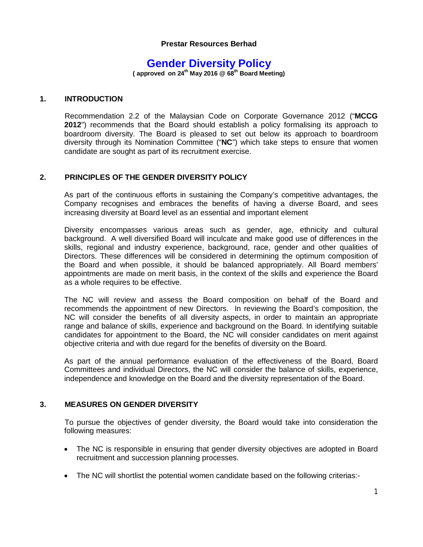### **Prestar Resources Berhad**

# **Gender Diversity Policy**

**( approved on 24th May 2016 @ 68th Board Meeting)** 

### **1. INTRODUCTION**

Recommendation 2.2 of the Malaysian Code on Corporate Governance 2012 ("**MCCG 2012**") recommends that the Board should establish a policy formalising its approach to boardroom diversity. The Board is pleased to set out below its approach to boardroom diversity through its Nomination Committee ("**NC**") which take steps to ensure that women candidate are sought as part of its recruitment exercise.

### **2. PRINCIPLES OF THE GENDER DIVERSITY POLICY**

As part of the continuous efforts in sustaining the Company's competitive advantages, the Company recognises and embraces the benefits of having a diverse Board, and sees increasing diversity at Board level as an essential and important element

Diversity encompasses various areas such as gender, age, ethnicity and cultural background. A well diversified Board will inculcate and make good use of differences in the skills, regional and industry experience, background, race, gender and other qualities of Directors. These differences will be considered in determining the optimum composition of the Board and when possible, it should be balanced appropriately. All Board members' appointments are made on merit basis, in the context of the skills and experience the Board as a whole requires to be effective.

The NC will review and assess the Board composition on behalf of the Board and recommends the appointment of new Directors. In reviewing the Board's composition, the NC will consider the benefits of all diversity aspects, in order to maintain an appropriate range and balance of skills, experience and background on the Board. In identifying suitable candidates for appointment to the Board, the NC will consider candidates on merit against objective criteria and with due regard for the benefits of diversity on the Board.

As part of the annual performance evaluation of the effectiveness of the Board, Board Committees and individual Directors, the NC will consider the balance of skills, experience, independence and knowledge on the Board and the diversity representation of the Board.

## **3. MEASURES ON GENDER DIVERSITY**

To pursue the objectives of gender diversity, the Board would take into consideration the following measures:

- The NC is responsible in ensuring that gender diversity objectives are adopted in Board recruitment and succession planning processes.
- The NC will shortlist the potential women candidate based on the following criterias:-